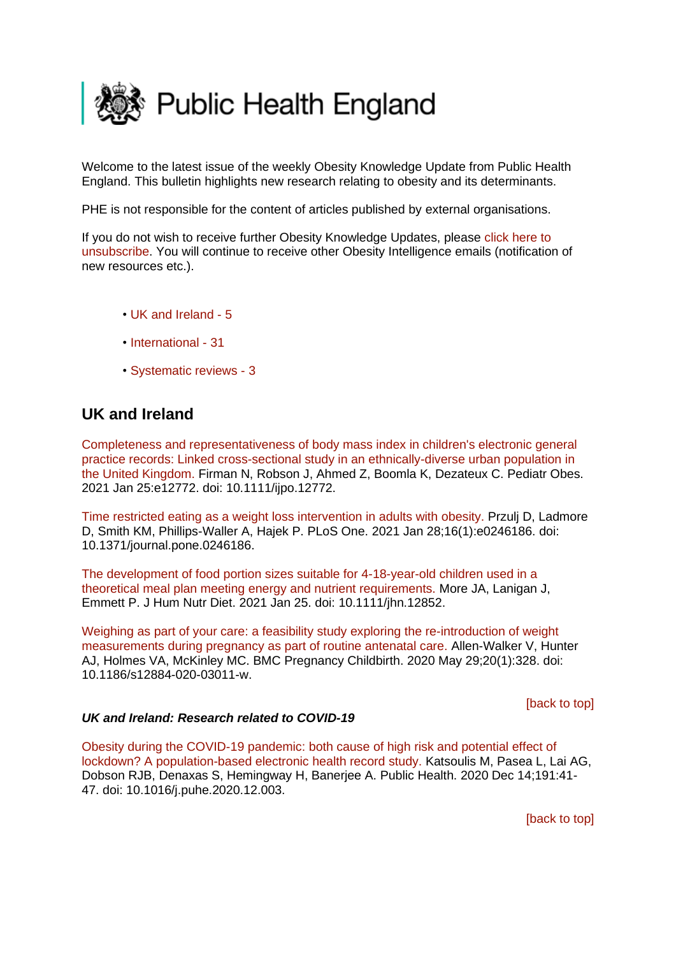<span id="page-0-1"></span>

Welcome to the latest issue of the weekly Obesity Knowledge Update from Public Health England. This bulletin highlights new research relating to obesity and its determinants.

PHE is not responsible for the content of articles published by external organisations.

If you do not wish to receive further Obesity Knowledge Updates, please [click here to](mailto:ObesityIntelligence@phe.gov.uk?subject=Unsubscribe%20from%20Knowledge%20Update%20mailing%20list)  [unsubscribe.](mailto:ObesityIntelligence@phe.gov.uk?subject=Unsubscribe%20from%20Knowledge%20Update%20mailing%20list) You will continue to receive other Obesity Intelligence emails (notification of new resources etc.).

- • [UK and Ireland -](#page-0-0) 5
- [International -](#page-1-0) 31
- [Systematic reviews -](#page-3-0) 3

# <span id="page-0-0"></span>**UK and Ireland**

[Completeness and representativeness of body mass index in children's electronic general](https://eur01.safelinks.protection.outlook.com/?url=https%3A%2F%2Fpubmed.ncbi.nlm.nih.gov%2F33496075%2F&data=04%7C01%7CMaggie.Graham%40phe.gov.uk%7C31bc67e6553b4e28251a08d8c6e1ee99%7Cee4e14994a354b2ead475f3cf9de8666%7C0%7C0%7C637478020958581893%7CUnknown%7CTWFpbGZsb3d8eyJWIjoiMC4wLjAwMDAiLCJQIjoiV2luMzIiLCJBTiI6Ik1haWwiLCJXVCI6Mn0%3D%7C1000&sdata=u1JOahwhJiLdzK5jteR4kKmPu8D8i%2BDjhf3rseK0w7o%3D&reserved=0)  [practice records: Linked cross-sectional study in an ethnically-diverse urban population in](https://eur01.safelinks.protection.outlook.com/?url=https%3A%2F%2Fpubmed.ncbi.nlm.nih.gov%2F33496075%2F&data=04%7C01%7CMaggie.Graham%40phe.gov.uk%7C31bc67e6553b4e28251a08d8c6e1ee99%7Cee4e14994a354b2ead475f3cf9de8666%7C0%7C0%7C637478020958581893%7CUnknown%7CTWFpbGZsb3d8eyJWIjoiMC4wLjAwMDAiLCJQIjoiV2luMzIiLCJBTiI6Ik1haWwiLCJXVCI6Mn0%3D%7C1000&sdata=u1JOahwhJiLdzK5jteR4kKmPu8D8i%2BDjhf3rseK0w7o%3D&reserved=0)  [the United Kingdom. F](https://eur01.safelinks.protection.outlook.com/?url=https%3A%2F%2Fpubmed.ncbi.nlm.nih.gov%2F33496075%2F&data=04%7C01%7CMaggie.Graham%40phe.gov.uk%7C31bc67e6553b4e28251a08d8c6e1ee99%7Cee4e14994a354b2ead475f3cf9de8666%7C0%7C0%7C637478020958581893%7CUnknown%7CTWFpbGZsb3d8eyJWIjoiMC4wLjAwMDAiLCJQIjoiV2luMzIiLCJBTiI6Ik1haWwiLCJXVCI6Mn0%3D%7C1000&sdata=u1JOahwhJiLdzK5jteR4kKmPu8D8i%2BDjhf3rseK0w7o%3D&reserved=0)irman N, Robson J, Ahmed Z, Boomla K, Dezateux C. Pediatr Obes. 2021 Jan 25:e12772. doi: 10.1111/ijpo.12772.

[Time restricted eating as a weight loss intervention in adults with obesity. P](https://eur01.safelinks.protection.outlook.com/?url=https%3A%2F%2Fpubmed.ncbi.nlm.nih.gov%2F33508009%2F&data=04%7C01%7CMaggie.Graham%40phe.gov.uk%7C31bc67e6553b4e28251a08d8c6e1ee99%7Cee4e14994a354b2ead475f3cf9de8666%7C0%7C0%7C637478020958591885%7CUnknown%7CTWFpbGZsb3d8eyJWIjoiMC4wLjAwMDAiLCJQIjoiV2luMzIiLCJBTiI6Ik1haWwiLCJXVCI6Mn0%3D%7C1000&sdata=1vlYCER7TaDbn2YctNtl8iMCv4MGy4aXp6pt9w2aVFM%3D&reserved=0)rzulj D, Ladmore D, Smith KM, Phillips-Waller A, Hajek P. PLoS One. 2021 Jan 28;16(1):e0246186. doi: 10.1371/journal.pone.0246186.

[The development of food portion sizes suitable for 4-18-year-old children used in a](https://eur01.safelinks.protection.outlook.com/?url=https%3A%2F%2Fpubmed.ncbi.nlm.nih.gov%2F33492716%2F&data=04%7C01%7CMaggie.Graham%40phe.gov.uk%7C31bc67e6553b4e28251a08d8c6e1ee99%7Cee4e14994a354b2ead475f3cf9de8666%7C0%7C0%7C637478020958661848%7CUnknown%7CTWFpbGZsb3d8eyJWIjoiMC4wLjAwMDAiLCJQIjoiV2luMzIiLCJBTiI6Ik1haWwiLCJXVCI6Mn0%3D%7C1000&sdata=rksvEsQLOAq95YzTw%2FqVo89Unc4L4OJza00I3JsUm%2Bs%3D&reserved=0)  [theoretical meal plan meeting energy and nutrient requirements. M](https://eur01.safelinks.protection.outlook.com/?url=https%3A%2F%2Fpubmed.ncbi.nlm.nih.gov%2F33492716%2F&data=04%7C01%7CMaggie.Graham%40phe.gov.uk%7C31bc67e6553b4e28251a08d8c6e1ee99%7Cee4e14994a354b2ead475f3cf9de8666%7C0%7C0%7C637478020958661848%7CUnknown%7CTWFpbGZsb3d8eyJWIjoiMC4wLjAwMDAiLCJQIjoiV2luMzIiLCJBTiI6Ik1haWwiLCJXVCI6Mn0%3D%7C1000&sdata=rksvEsQLOAq95YzTw%2FqVo89Unc4L4OJza00I3JsUm%2Bs%3D&reserved=0)ore JA, Lanigan J, Emmett P. J Hum Nutr Diet. 2021 Jan 25. doi: 10.1111/jhn.12852.

[Weighing as part of your care: a feasibility study exploring the re-introduction of weight](https://eur01.safelinks.protection.outlook.com/?url=https%3A%2F%2Fpubmed.ncbi.nlm.nih.gov%2F32471375%2F&data=04%7C01%7CMaggie.Graham%40phe.gov.uk%7C31bc67e6553b4e28251a08d8c6e1ee99%7Cee4e14994a354b2ead475f3cf9de8666%7C0%7C0%7C637478020958691825%7CUnknown%7CTWFpbGZsb3d8eyJWIjoiMC4wLjAwMDAiLCJQIjoiV2luMzIiLCJBTiI6Ik1haWwiLCJXVCI6Mn0%3D%7C1000&sdata=XB%2Bj2VrHnU7UJZBtF%2F25rKOreLBBxrwi8gjEPDs0fk4%3D&reserved=0)  [measurements during pregnancy as part of routine antenatal care. A](https://eur01.safelinks.protection.outlook.com/?url=https%3A%2F%2Fpubmed.ncbi.nlm.nih.gov%2F32471375%2F&data=04%7C01%7CMaggie.Graham%40phe.gov.uk%7C31bc67e6553b4e28251a08d8c6e1ee99%7Cee4e14994a354b2ead475f3cf9de8666%7C0%7C0%7C637478020958691825%7CUnknown%7CTWFpbGZsb3d8eyJWIjoiMC4wLjAwMDAiLCJQIjoiV2luMzIiLCJBTiI6Ik1haWwiLCJXVCI6Mn0%3D%7C1000&sdata=XB%2Bj2VrHnU7UJZBtF%2F25rKOreLBBxrwi8gjEPDs0fk4%3D&reserved=0)llen-Walker V, Hunter AJ, Holmes VA, McKinley MC. BMC Pregnancy Childbirth. 2020 May 29;20(1):328. doi: 10.1186/s12884-020-03011-w.

### [\[back to top\]](#page-0-1)

### *UK and Ireland: Research related to COVID-19*

[Obesity during the COVID-19 pandemic: both cause of high risk and potential effect of](https://eur01.safelinks.protection.outlook.com/?url=https%3A%2F%2Fpubmed.ncbi.nlm.nih.gov%2F33497994%2F&data=04%7C01%7CMaggie.Graham%40phe.gov.uk%7C31bc67e6553b4e28251a08d8c6e1ee99%7Cee4e14994a354b2ead475f3cf9de8666%7C0%7C0%7C637478020958491945%7CUnknown%7CTWFpbGZsb3d8eyJWIjoiMC4wLjAwMDAiLCJQIjoiV2luMzIiLCJBTiI6Ik1haWwiLCJXVCI6Mn0%3D%7C1000&sdata=g%2FtADyOLTKrFxE7QchWwuSqbyI2uoKe0egr1CqpJqlw%3D&reserved=0)  [lockdown? A population-based electronic health record study. K](https://eur01.safelinks.protection.outlook.com/?url=https%3A%2F%2Fpubmed.ncbi.nlm.nih.gov%2F33497994%2F&data=04%7C01%7CMaggie.Graham%40phe.gov.uk%7C31bc67e6553b4e28251a08d8c6e1ee99%7Cee4e14994a354b2ead475f3cf9de8666%7C0%7C0%7C637478020958491945%7CUnknown%7CTWFpbGZsb3d8eyJWIjoiMC4wLjAwMDAiLCJQIjoiV2luMzIiLCJBTiI6Ik1haWwiLCJXVCI6Mn0%3D%7C1000&sdata=g%2FtADyOLTKrFxE7QchWwuSqbyI2uoKe0egr1CqpJqlw%3D&reserved=0)atsoulis M, Pasea L, Lai AG, Dobson RJB, Denaxas S, Hemingway H, Banerjee A. Public Health. 2020 Dec 14;191:41- 47. doi: 10.1016/j.puhe.2020.12.003.

[\[back to top\]](#page-0-1)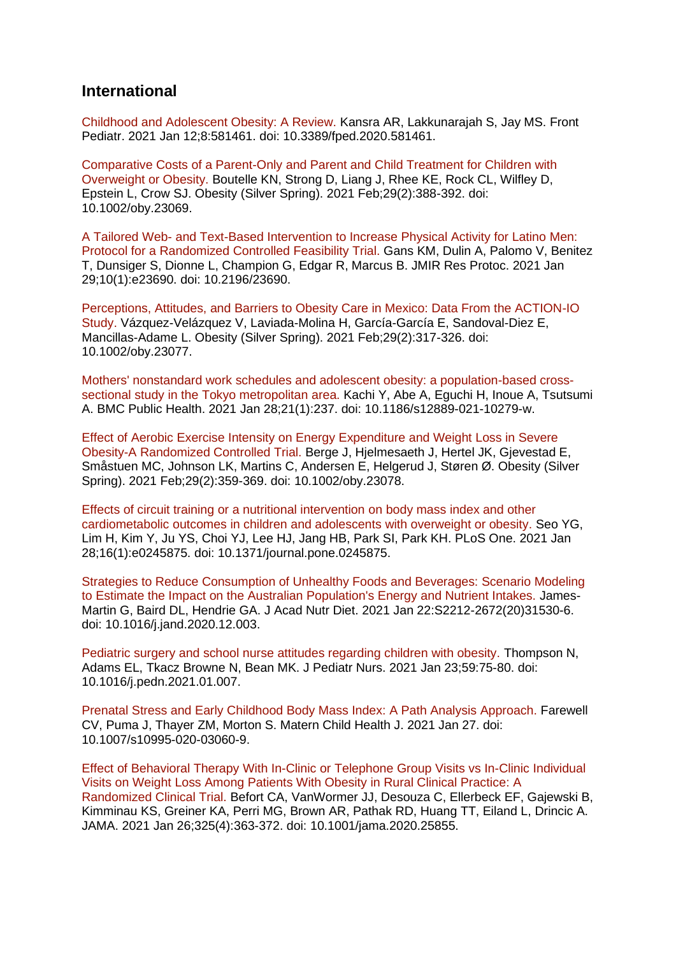## <span id="page-1-0"></span>**International**

[Childhood and Adolescent Obesity: A Review. K](https://eur01.safelinks.protection.outlook.com/?url=https%3A%2F%2Fpubmed.ncbi.nlm.nih.gov%2F33511092%2F&data=04%7C01%7CMaggie.Graham%40phe.gov.uk%7C31bc67e6553b4e28251a08d8c6e1ee99%7Cee4e14994a354b2ead475f3cf9de8666%7C0%7C0%7C637478020958481946%7CUnknown%7CTWFpbGZsb3d8eyJWIjoiMC4wLjAwMDAiLCJQIjoiV2luMzIiLCJBTiI6Ik1haWwiLCJXVCI6Mn0%3D%7C1000&sdata=xaB9nKBLEhRro2toFwJpxh5fSn2BBwMG%2FqAw4BDQyIE%3D&reserved=0)ansra AR, Lakkunarajah S, Jay MS. Front Pediatr. 2021 Jan 12;8:581461. doi: 10.3389/fped.2020.581461.

[Comparative Costs of a Parent-Only and Parent and Child Treatment for Children with](https://eur01.safelinks.protection.outlook.com/?url=https%3A%2F%2Fpubmed.ncbi.nlm.nih.gov%2F33491321%2F&data=04%7C01%7CMaggie.Graham%40phe.gov.uk%7C31bc67e6553b4e28251a08d8c6e1ee99%7Cee4e14994a354b2ead475f3cf9de8666%7C0%7C0%7C637478020958501945%7CUnknown%7CTWFpbGZsb3d8eyJWIjoiMC4wLjAwMDAiLCJQIjoiV2luMzIiLCJBTiI6Ik1haWwiLCJXVCI6Mn0%3D%7C1000&sdata=PYne%2Fimwwv2vgeZh743ILplXjlL%2FULZC30e2v%2FfNl0c%3D&reserved=0)  [Overweight or Obesity. B](https://eur01.safelinks.protection.outlook.com/?url=https%3A%2F%2Fpubmed.ncbi.nlm.nih.gov%2F33491321%2F&data=04%7C01%7CMaggie.Graham%40phe.gov.uk%7C31bc67e6553b4e28251a08d8c6e1ee99%7Cee4e14994a354b2ead475f3cf9de8666%7C0%7C0%7C637478020958501945%7CUnknown%7CTWFpbGZsb3d8eyJWIjoiMC4wLjAwMDAiLCJQIjoiV2luMzIiLCJBTiI6Ik1haWwiLCJXVCI6Mn0%3D%7C1000&sdata=PYne%2Fimwwv2vgeZh743ILplXjlL%2FULZC30e2v%2FfNl0c%3D&reserved=0)outelle KN, Strong D, Liang J, Rhee KE, Rock CL, Wilfley D, Epstein L, Crow SJ. Obesity (Silver Spring). 2021 Feb;29(2):388-392. doi: 10.1002/oby.23069.

A Tailored Web- [and Text-Based Intervention to Increase Physical Activity for Latino](https://eur01.safelinks.protection.outlook.com/?url=https%3A%2F%2Fpubmed.ncbi.nlm.nih.gov%2F33512327%2F&data=04%7C01%7CMaggie.Graham%40phe.gov.uk%7C31bc67e6553b4e28251a08d8c6e1ee99%7Cee4e14994a354b2ead475f3cf9de8666%7C0%7C0%7C637478020958511933%7CUnknown%7CTWFpbGZsb3d8eyJWIjoiMC4wLjAwMDAiLCJQIjoiV2luMzIiLCJBTiI6Ik1haWwiLCJXVCI6Mn0%3D%7C1000&sdata=zhDNpqD6J2xGscIQwb5HfqUNzfkX9kosm%2BkWt1HY%2BeM%3D&reserved=0) Men: [Protocol for a Randomized Controlled Feasibility Trial. G](https://eur01.safelinks.protection.outlook.com/?url=https%3A%2F%2Fpubmed.ncbi.nlm.nih.gov%2F33512327%2F&data=04%7C01%7CMaggie.Graham%40phe.gov.uk%7C31bc67e6553b4e28251a08d8c6e1ee99%7Cee4e14994a354b2ead475f3cf9de8666%7C0%7C0%7C637478020958511933%7CUnknown%7CTWFpbGZsb3d8eyJWIjoiMC4wLjAwMDAiLCJQIjoiV2luMzIiLCJBTiI6Ik1haWwiLCJXVCI6Mn0%3D%7C1000&sdata=zhDNpqD6J2xGscIQwb5HfqUNzfkX9kosm%2BkWt1HY%2BeM%3D&reserved=0)ans KM, Dulin A, Palomo V, Benitez T, Dunsiger S, Dionne L, Champion G, Edgar R, Marcus B. JMIR Res Protoc. 2021 Jan 29;10(1):e23690. doi: 10.2196/23690.

[Perceptions, Attitudes, and Barriers to Obesity Care in Mexico: Data From the ACTION-IO](https://eur01.safelinks.protection.outlook.com/?url=https%3A%2F%2Fpubmed.ncbi.nlm.nih.gov%2F33491317%2F&data=04%7C01%7CMaggie.Graham%40phe.gov.uk%7C31bc67e6553b4e28251a08d8c6e1ee99%7Cee4e14994a354b2ead475f3cf9de8666%7C0%7C0%7C637478020958521928%7CUnknown%7CTWFpbGZsb3d8eyJWIjoiMC4wLjAwMDAiLCJQIjoiV2luMzIiLCJBTiI6Ik1haWwiLCJXVCI6Mn0%3D%7C1000&sdata=cy%2FyRQaBq2k1Qdg3%2B6ai6PABVm8rJpvxNsH9%2Blb4MCE%3D&reserved=0)  [Study. V](https://eur01.safelinks.protection.outlook.com/?url=https%3A%2F%2Fpubmed.ncbi.nlm.nih.gov%2F33491317%2F&data=04%7C01%7CMaggie.Graham%40phe.gov.uk%7C31bc67e6553b4e28251a08d8c6e1ee99%7Cee4e14994a354b2ead475f3cf9de8666%7C0%7C0%7C637478020958521928%7CUnknown%7CTWFpbGZsb3d8eyJWIjoiMC4wLjAwMDAiLCJQIjoiV2luMzIiLCJBTiI6Ik1haWwiLCJXVCI6Mn0%3D%7C1000&sdata=cy%2FyRQaBq2k1Qdg3%2B6ai6PABVm8rJpvxNsH9%2Blb4MCE%3D&reserved=0)ázquez-Velázquez V, Laviada-Molina H, García-García E, Sandoval-Diez E, Mancillas-Adame L. Obesity (Silver Spring). 2021 Feb;29(2):317-326. doi: 10.1002/oby.23077.

[Mothers' nonstandard work schedules and adolescent obesity: a population-based cross](https://eur01.safelinks.protection.outlook.com/?url=https%3A%2F%2Fpubmed.ncbi.nlm.nih.gov%2F33509145%2F&data=04%7C01%7CMaggie.Graham%40phe.gov.uk%7C31bc67e6553b4e28251a08d8c6e1ee99%7Cee4e14994a354b2ead475f3cf9de8666%7C0%7C0%7C637478020958531920%7CUnknown%7CTWFpbGZsb3d8eyJWIjoiMC4wLjAwMDAiLCJQIjoiV2luMzIiLCJBTiI6Ik1haWwiLCJXVCI6Mn0%3D%7C1000&sdata=hBJlj%2BBbZNYMR4EOtvTP42s6ZXWyYFNHefmxkoh9A0w%3D&reserved=0)[sectional study in the Tokyo metropolitan area. K](https://eur01.safelinks.protection.outlook.com/?url=https%3A%2F%2Fpubmed.ncbi.nlm.nih.gov%2F33509145%2F&data=04%7C01%7CMaggie.Graham%40phe.gov.uk%7C31bc67e6553b4e28251a08d8c6e1ee99%7Cee4e14994a354b2ead475f3cf9de8666%7C0%7C0%7C637478020958531920%7CUnknown%7CTWFpbGZsb3d8eyJWIjoiMC4wLjAwMDAiLCJQIjoiV2luMzIiLCJBTiI6Ik1haWwiLCJXVCI6Mn0%3D%7C1000&sdata=hBJlj%2BBbZNYMR4EOtvTP42s6ZXWyYFNHefmxkoh9A0w%3D&reserved=0)achi Y, Abe A, Eguchi H, Inoue A, Tsutsumi A. BMC Public Health. 2021 Jan 28;21(1):237. doi: 10.1186/s12889-021-10279-w.

[Effect of Aerobic Exercise Intensity on Energy Expenditure and Weight Loss in Severe](https://eur01.safelinks.protection.outlook.com/?url=https%3A%2F%2Fpubmed.ncbi.nlm.nih.gov%2F33491314%2F&data=04%7C01%7CMaggie.Graham%40phe.gov.uk%7C31bc67e6553b4e28251a08d8c6e1ee99%7Cee4e14994a354b2ead475f3cf9de8666%7C0%7C0%7C637478020958531920%7CUnknown%7CTWFpbGZsb3d8eyJWIjoiMC4wLjAwMDAiLCJQIjoiV2luMzIiLCJBTiI6Ik1haWwiLCJXVCI6Mn0%3D%7C1000&sdata=GDFzQfo2yI6%2BQOQZRMiKc8eZimwe%2BEaXB1PrZPr2nrw%3D&reserved=0)  [Obesity-A Randomized Controlled Trial. B](https://eur01.safelinks.protection.outlook.com/?url=https%3A%2F%2Fpubmed.ncbi.nlm.nih.gov%2F33491314%2F&data=04%7C01%7CMaggie.Graham%40phe.gov.uk%7C31bc67e6553b4e28251a08d8c6e1ee99%7Cee4e14994a354b2ead475f3cf9de8666%7C0%7C0%7C637478020958531920%7CUnknown%7CTWFpbGZsb3d8eyJWIjoiMC4wLjAwMDAiLCJQIjoiV2luMzIiLCJBTiI6Ik1haWwiLCJXVCI6Mn0%3D%7C1000&sdata=GDFzQfo2yI6%2BQOQZRMiKc8eZimwe%2BEaXB1PrZPr2nrw%3D&reserved=0)erge J, Hjelmesaeth J, Hertel JK, Gjevestad E, Småstuen MC, Johnson LK, Martins C, Andersen E, Helgerud J, Støren Ø. Obesity (Silver Spring). 2021 Feb;29(2):359-369. doi: 10.1002/oby.23078.

[Effects of circuit training or a nutritional intervention](https://eur01.safelinks.protection.outlook.com/?url=https%3A%2F%2Fpubmed.ncbi.nlm.nih.gov%2F33507953%2F&data=04%7C01%7CMaggie.Graham%40phe.gov.uk%7C31bc67e6553b4e28251a08d8c6e1ee99%7Cee4e14994a354b2ead475f3cf9de8666%7C0%7C0%7C637478020958541916%7CUnknown%7CTWFpbGZsb3d8eyJWIjoiMC4wLjAwMDAiLCJQIjoiV2luMzIiLCJBTiI6Ik1haWwiLCJXVCI6Mn0%3D%7C1000&sdata=QoQJd9RVgmAZoizLrlU7QWfxwpsA%2F%2BKSZPdYoQdYxM8%3D&reserved=0) on body mass index and other [cardiometabolic outcomes in children and adolescents with overweight or obesity. S](https://eur01.safelinks.protection.outlook.com/?url=https%3A%2F%2Fpubmed.ncbi.nlm.nih.gov%2F33507953%2F&data=04%7C01%7CMaggie.Graham%40phe.gov.uk%7C31bc67e6553b4e28251a08d8c6e1ee99%7Cee4e14994a354b2ead475f3cf9de8666%7C0%7C0%7C637478020958541916%7CUnknown%7CTWFpbGZsb3d8eyJWIjoiMC4wLjAwMDAiLCJQIjoiV2luMzIiLCJBTiI6Ik1haWwiLCJXVCI6Mn0%3D%7C1000&sdata=QoQJd9RVgmAZoizLrlU7QWfxwpsA%2F%2BKSZPdYoQdYxM8%3D&reserved=0)eo YG, Lim H, Kim Y, Ju YS, Choi YJ, Lee HJ, Jang HB, Park SI, Park KH. PLoS One. 2021 Jan 28;16(1):e0245875. doi: 10.1371/journal.pone.0245875.

[Strategies to Reduce Consumption of Unhealthy Foods and Beverages: Scenario Modeling](https://eur01.safelinks.protection.outlook.com/?url=https%3A%2F%2Fpubmed.ncbi.nlm.nih.gov%2F33495107%2F&data=04%7C01%7CMaggie.Graham%40phe.gov.uk%7C31bc67e6553b4e28251a08d8c6e1ee99%7Cee4e14994a354b2ead475f3cf9de8666%7C0%7C0%7C637478020958541916%7CUnknown%7CTWFpbGZsb3d8eyJWIjoiMC4wLjAwMDAiLCJQIjoiV2luMzIiLCJBTiI6Ik1haWwiLCJXVCI6Mn0%3D%7C1000&sdata=cq2ncDCdJtxhoY3cYkm2ttNz6exgnJd%2Bm8OehM%2ByW3I%3D&reserved=0)  to [Estimate the Impact on the Australian Population's Energy and Nutrient Intakes. J](https://eur01.safelinks.protection.outlook.com/?url=https%3A%2F%2Fpubmed.ncbi.nlm.nih.gov%2F33495107%2F&data=04%7C01%7CMaggie.Graham%40phe.gov.uk%7C31bc67e6553b4e28251a08d8c6e1ee99%7Cee4e14994a354b2ead475f3cf9de8666%7C0%7C0%7C637478020958541916%7CUnknown%7CTWFpbGZsb3d8eyJWIjoiMC4wLjAwMDAiLCJQIjoiV2luMzIiLCJBTiI6Ik1haWwiLCJXVCI6Mn0%3D%7C1000&sdata=cq2ncDCdJtxhoY3cYkm2ttNz6exgnJd%2Bm8OehM%2ByW3I%3D&reserved=0)ames-Martin G, Baird DL, Hendrie GA. J Acad Nutr Diet. 2021 Jan 22:S2212-2672(20)31530-6. doi: 10.1016/j.jand.2020.12.003.

[Pediatric surgery and school nurse attitudes regarding children with obesity. T](https://eur01.safelinks.protection.outlook.com/?url=https%3A%2F%2Fpubmed.ncbi.nlm.nih.gov%2F33497956%2F&data=04%7C01%7CMaggie.Graham%40phe.gov.uk%7C31bc67e6553b4e28251a08d8c6e1ee99%7Cee4e14994a354b2ead475f3cf9de8666%7C0%7C0%7C637478020958551912%7CUnknown%7CTWFpbGZsb3d8eyJWIjoiMC4wLjAwMDAiLCJQIjoiV2luMzIiLCJBTiI6Ik1haWwiLCJXVCI6Mn0%3D%7C1000&sdata=lqYbRFyxypX%2FQvXBA5j4%2Bz0wX6LMUoG4VlKjzHcJ%2B%2Fw%3D&reserved=0)hompson N, Adams EL, Tkacz Browne N, Bean MK. J Pediatr Nurs. 2021 Jan 23;59:75-80. doi: 10.1016/j.pedn.2021.01.007.

Prenatal Stress and [Early Childhood Body Mass Index: A Path Analysis Approach. F](https://eur01.safelinks.protection.outlook.com/?url=https%3A%2F%2Fpubmed.ncbi.nlm.nih.gov%2F33502673%2F&data=04%7C01%7CMaggie.Graham%40phe.gov.uk%7C31bc67e6553b4e28251a08d8c6e1ee99%7Cee4e14994a354b2ead475f3cf9de8666%7C0%7C0%7C637478020958551912%7CUnknown%7CTWFpbGZsb3d8eyJWIjoiMC4wLjAwMDAiLCJQIjoiV2luMzIiLCJBTiI6Ik1haWwiLCJXVCI6Mn0%3D%7C1000&sdata=qe4TypmbNsMLvfjte%2BihwuWUHLVKsEq3DnszGddpULU%3D&reserved=0)arewell CV, Puma J, Thayer ZM, Morton S. Matern Child Health J. 2021 Jan 27. doi: 10.1007/s10995-020-03060-9.

[Effect of Behavioral Therapy With In-Clinic or Telephone Group Visits vs In-Clinic Individual](https://eur01.safelinks.protection.outlook.com/?url=https%3A%2F%2Fpubmed.ncbi.nlm.nih.gov%2F33496775%2F&data=04%7C01%7CMaggie.Graham%40phe.gov.uk%7C31bc67e6553b4e28251a08d8c6e1ee99%7Cee4e14994a354b2ead475f3cf9de8666%7C0%7C0%7C637478020958561903%7CUnknown%7CTWFpbGZsb3d8eyJWIjoiMC4wLjAwMDAiLCJQIjoiV2luMzIiLCJBTiI6Ik1haWwiLCJXVCI6Mn0%3D%7C1000&sdata=bJX7mYQsqMBS3WIWk4oOjJmuIDNrfme%2Bi2A0Ok9%2FxV4%3D&reserved=0)  [Visits on Weight Loss Among Patients With Obesity in Rural Clinical Practice: A](https://eur01.safelinks.protection.outlook.com/?url=https%3A%2F%2Fpubmed.ncbi.nlm.nih.gov%2F33496775%2F&data=04%7C01%7CMaggie.Graham%40phe.gov.uk%7C31bc67e6553b4e28251a08d8c6e1ee99%7Cee4e14994a354b2ead475f3cf9de8666%7C0%7C0%7C637478020958561903%7CUnknown%7CTWFpbGZsb3d8eyJWIjoiMC4wLjAwMDAiLCJQIjoiV2luMzIiLCJBTiI6Ik1haWwiLCJXVCI6Mn0%3D%7C1000&sdata=bJX7mYQsqMBS3WIWk4oOjJmuIDNrfme%2Bi2A0Ok9%2FxV4%3D&reserved=0)  [Randomized Clinical Trial. B](https://eur01.safelinks.protection.outlook.com/?url=https%3A%2F%2Fpubmed.ncbi.nlm.nih.gov%2F33496775%2F&data=04%7C01%7CMaggie.Graham%40phe.gov.uk%7C31bc67e6553b4e28251a08d8c6e1ee99%7Cee4e14994a354b2ead475f3cf9de8666%7C0%7C0%7C637478020958561903%7CUnknown%7CTWFpbGZsb3d8eyJWIjoiMC4wLjAwMDAiLCJQIjoiV2luMzIiLCJBTiI6Ik1haWwiLCJXVCI6Mn0%3D%7C1000&sdata=bJX7mYQsqMBS3WIWk4oOjJmuIDNrfme%2Bi2A0Ok9%2FxV4%3D&reserved=0)efort CA, VanWormer JJ, Desouza C, Ellerbeck EF, Gajewski B, Kimminau KS, Greiner KA, Perri MG, Brown AR, Pathak RD, Huang TT, Eiland L, Drincic A. JAMA. 2021 Jan 26;325(4):363-372. doi: 10.1001/jama.2020.25855.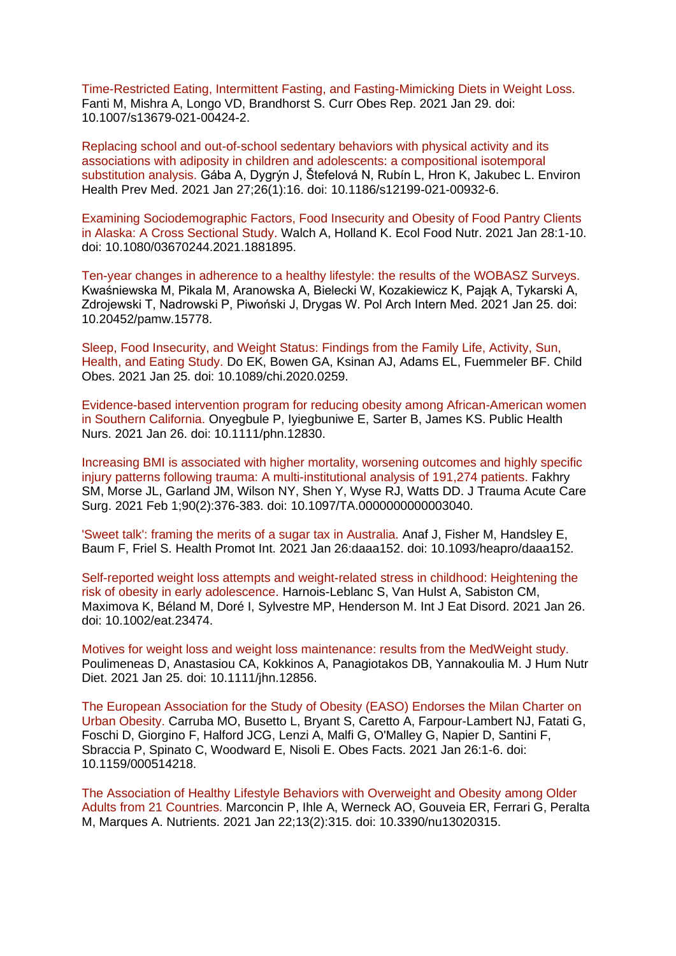[Time-Restricted Eating, Intermittent Fasting, and Fasting-Mimicking Diets in Weight Loss.](https://eur01.safelinks.protection.outlook.com/?url=https%3A%2F%2Fpubmed.ncbi.nlm.nih.gov%2F33512641%2F&data=04%7C01%7CMaggie.Graham%40phe.gov.uk%7C31bc67e6553b4e28251a08d8c6e1ee99%7Cee4e14994a354b2ead475f3cf9de8666%7C0%7C0%7C637478020958571903%7CUnknown%7CTWFpbGZsb3d8eyJWIjoiMC4wLjAwMDAiLCJQIjoiV2luMzIiLCJBTiI6Ik1haWwiLCJXVCI6Mn0%3D%7C1000&sdata=PzydANMRjw2cz3XBc7vTiCKWkBrJ%2B7fJE%2FOdjLKCTqA%3D&reserved=0)  Fanti M, Mishra A, Longo VD, Brandhorst S. Curr Obes Rep. 2021 Jan 29. doi: 10.1007/s13679-021-00424-2.

[Replacing school and out-of-school sedentary behaviors with physical activity and its](https://eur01.safelinks.protection.outlook.com/?url=https%3A%2F%2Fpubmed.ncbi.nlm.nih.gov%2F33504330%2F&data=04%7C01%7CMaggie.Graham%40phe.gov.uk%7C31bc67e6553b4e28251a08d8c6e1ee99%7Cee4e14994a354b2ead475f3cf9de8666%7C0%7C0%7C637478020958571903%7CUnknown%7CTWFpbGZsb3d8eyJWIjoiMC4wLjAwMDAiLCJQIjoiV2luMzIiLCJBTiI6Ik1haWwiLCJXVCI6Mn0%3D%7C1000&sdata=SPyLOzGoPQz2AmAaNCKCzEs%2FF0ylgh%2F72x%2Fz9c99H6c%3D&reserved=0)  [associations with adiposity in children and adolescents: a compositional isotemporal](https://eur01.safelinks.protection.outlook.com/?url=https%3A%2F%2Fpubmed.ncbi.nlm.nih.gov%2F33504330%2F&data=04%7C01%7CMaggie.Graham%40phe.gov.uk%7C31bc67e6553b4e28251a08d8c6e1ee99%7Cee4e14994a354b2ead475f3cf9de8666%7C0%7C0%7C637478020958571903%7CUnknown%7CTWFpbGZsb3d8eyJWIjoiMC4wLjAwMDAiLCJQIjoiV2luMzIiLCJBTiI6Ik1haWwiLCJXVCI6Mn0%3D%7C1000&sdata=SPyLOzGoPQz2AmAaNCKCzEs%2FF0ylgh%2F72x%2Fz9c99H6c%3D&reserved=0)  [substitution analysis. G](https://eur01.safelinks.protection.outlook.com/?url=https%3A%2F%2Fpubmed.ncbi.nlm.nih.gov%2F33504330%2F&data=04%7C01%7CMaggie.Graham%40phe.gov.uk%7C31bc67e6553b4e28251a08d8c6e1ee99%7Cee4e14994a354b2ead475f3cf9de8666%7C0%7C0%7C637478020958571903%7CUnknown%7CTWFpbGZsb3d8eyJWIjoiMC4wLjAwMDAiLCJQIjoiV2luMzIiLCJBTiI6Ik1haWwiLCJXVCI6Mn0%3D%7C1000&sdata=SPyLOzGoPQz2AmAaNCKCzEs%2FF0ylgh%2F72x%2Fz9c99H6c%3D&reserved=0)ába A, Dygrýn J, Štefelová N, Rubín L, Hron K, Jakubec L. Environ Health Prev Med. 2021 Jan 27;26(1):16. doi: 10.1186/s12199-021-00932-6.

[Examining Sociodemographic Factors, Food Insecurity and Obesity of Food Pantry Clients](https://eur01.safelinks.protection.outlook.com/?url=https%3A%2F%2Fpubmed.ncbi.nlm.nih.gov%2F33508983%2F&data=04%7C01%7CMaggie.Graham%40phe.gov.uk%7C31bc67e6553b4e28251a08d8c6e1ee99%7Cee4e14994a354b2ead475f3cf9de8666%7C0%7C0%7C637478020958581893%7CUnknown%7CTWFpbGZsb3d8eyJWIjoiMC4wLjAwMDAiLCJQIjoiV2luMzIiLCJBTiI6Ik1haWwiLCJXVCI6Mn0%3D%7C1000&sdata=3Hrb%2FWgMbBQBIsVqEjcOzhtiuJeWPJuG6czkz2Iza8o%3D&reserved=0)  [in Alaska: A Cross Sectional Study. W](https://eur01.safelinks.protection.outlook.com/?url=https%3A%2F%2Fpubmed.ncbi.nlm.nih.gov%2F33508983%2F&data=04%7C01%7CMaggie.Graham%40phe.gov.uk%7C31bc67e6553b4e28251a08d8c6e1ee99%7Cee4e14994a354b2ead475f3cf9de8666%7C0%7C0%7C637478020958581893%7CUnknown%7CTWFpbGZsb3d8eyJWIjoiMC4wLjAwMDAiLCJQIjoiV2luMzIiLCJBTiI6Ik1haWwiLCJXVCI6Mn0%3D%7C1000&sdata=3Hrb%2FWgMbBQBIsVqEjcOzhtiuJeWPJuG6czkz2Iza8o%3D&reserved=0)alch A, Holland K. Ecol Food Nutr. 2021 Jan 28:1-10. doi: 10.1080/03670244.2021.1881895.

[Ten-year changes in adherence to a healthy lifestyle: the results of the WOBASZ Surveys.](https://eur01.safelinks.protection.outlook.com/?url=https%3A%2F%2Fpubmed.ncbi.nlm.nih.gov%2F33491940%2F&data=04%7C01%7CMaggie.Graham%40phe.gov.uk%7C31bc67e6553b4e28251a08d8c6e1ee99%7Cee4e14994a354b2ead475f3cf9de8666%7C0%7C0%7C637478020958591885%7CUnknown%7CTWFpbGZsb3d8eyJWIjoiMC4wLjAwMDAiLCJQIjoiV2luMzIiLCJBTiI6Ik1haWwiLCJXVCI6Mn0%3D%7C1000&sdata=dYMgWU6S1aR5%2FOqlxOmgNP%2F9CoFodyxl07nw%2BHL5nlQ%3D&reserved=0)  Kwaśniewska M, Pikala M, Aranowska A, Bielecki W, Kozakiewicz K, Pająk A, Tykarski A, Zdrojewski T, Nadrowski P, Piwoński J, Drygas W. Pol Arch Intern Med. 2021 Jan 25. doi: 10.20452/pamw.15778.

[Sleep, Food Insecurity, and Weight Status: Findings from the Family Life, Activity, Sun,](https://eur01.safelinks.protection.outlook.com/?url=https%3A%2F%2Fpubmed.ncbi.nlm.nih.gov%2F33493402%2F&data=04%7C01%7CMaggie.Graham%40phe.gov.uk%7C31bc67e6553b4e28251a08d8c6e1ee99%7Cee4e14994a354b2ead475f3cf9de8666%7C0%7C0%7C637478020958601885%7CUnknown%7CTWFpbGZsb3d8eyJWIjoiMC4wLjAwMDAiLCJQIjoiV2luMzIiLCJBTiI6Ik1haWwiLCJXVCI6Mn0%3D%7C1000&sdata=VmPzRvCmKZ9ddhNI6v1GKUb1esObbMM5ALX1OCrg3jA%3D&reserved=0)  [Health, and Eating Study. D](https://eur01.safelinks.protection.outlook.com/?url=https%3A%2F%2Fpubmed.ncbi.nlm.nih.gov%2F33493402%2F&data=04%7C01%7CMaggie.Graham%40phe.gov.uk%7C31bc67e6553b4e28251a08d8c6e1ee99%7Cee4e14994a354b2ead475f3cf9de8666%7C0%7C0%7C637478020958601885%7CUnknown%7CTWFpbGZsb3d8eyJWIjoiMC4wLjAwMDAiLCJQIjoiV2luMzIiLCJBTiI6Ik1haWwiLCJXVCI6Mn0%3D%7C1000&sdata=VmPzRvCmKZ9ddhNI6v1GKUb1esObbMM5ALX1OCrg3jA%3D&reserved=0)o EK, Bowen GA, Ksinan AJ, Adams EL, Fuemmeler BF. Child Obes. 2021 Jan 25. doi: 10.1089/chi.2020.0259.

[Evidence-based intervention program for reducing obesity among African-American women](https://eur01.safelinks.protection.outlook.com/?url=https%3A%2F%2Fpubmed.ncbi.nlm.nih.gov%2F33496008%2F&data=04%7C01%7CMaggie.Graham%40phe.gov.uk%7C31bc67e6553b4e28251a08d8c6e1ee99%7Cee4e14994a354b2ead475f3cf9de8666%7C0%7C0%7C637478020958611879%7CUnknown%7CTWFpbGZsb3d8eyJWIjoiMC4wLjAwMDAiLCJQIjoiV2luMzIiLCJBTiI6Ik1haWwiLCJXVCI6Mn0%3D%7C1000&sdata=8nQ%2FNyFgQe5El%2FMpQ7D2pYtEfVQAhK%2BTCTdCYNaaAQQ%3D&reserved=0)  [in Southern California. O](https://eur01.safelinks.protection.outlook.com/?url=https%3A%2F%2Fpubmed.ncbi.nlm.nih.gov%2F33496008%2F&data=04%7C01%7CMaggie.Graham%40phe.gov.uk%7C31bc67e6553b4e28251a08d8c6e1ee99%7Cee4e14994a354b2ead475f3cf9de8666%7C0%7C0%7C637478020958611879%7CUnknown%7CTWFpbGZsb3d8eyJWIjoiMC4wLjAwMDAiLCJQIjoiV2luMzIiLCJBTiI6Ik1haWwiLCJXVCI6Mn0%3D%7C1000&sdata=8nQ%2FNyFgQe5El%2FMpQ7D2pYtEfVQAhK%2BTCTdCYNaaAQQ%3D&reserved=0)nyegbule P, Iyiegbuniwe E, Sarter B, James KS. Public Health Nurs. 2021 Jan 26. doi: 10.1111/phn.12830.

[Increasing BMI is associated with higher mortality, worsening outcomes and highly specific](https://eur01.safelinks.protection.outlook.com/?url=https%3A%2F%2Fpubmed.ncbi.nlm.nih.gov%2F33502149%2F&data=04%7C01%7CMaggie.Graham%40phe.gov.uk%7C31bc67e6553b4e28251a08d8c6e1ee99%7Cee4e14994a354b2ead475f3cf9de8666%7C0%7C0%7C637478020958611879%7CUnknown%7CTWFpbGZsb3d8eyJWIjoiMC4wLjAwMDAiLCJQIjoiV2luMzIiLCJBTiI6Ik1haWwiLCJXVCI6Mn0%3D%7C1000&sdata=dwkbhwuFyAeBWcHWQnZyVkGLAWSg%2FWAspOmLNABulhU%3D&reserved=0)  [injury patterns following trauma: A multi-institutional analysis of 191,274 patients. F](https://eur01.safelinks.protection.outlook.com/?url=https%3A%2F%2Fpubmed.ncbi.nlm.nih.gov%2F33502149%2F&data=04%7C01%7CMaggie.Graham%40phe.gov.uk%7C31bc67e6553b4e28251a08d8c6e1ee99%7Cee4e14994a354b2ead475f3cf9de8666%7C0%7C0%7C637478020958611879%7CUnknown%7CTWFpbGZsb3d8eyJWIjoiMC4wLjAwMDAiLCJQIjoiV2luMzIiLCJBTiI6Ik1haWwiLCJXVCI6Mn0%3D%7C1000&sdata=dwkbhwuFyAeBWcHWQnZyVkGLAWSg%2FWAspOmLNABulhU%3D&reserved=0)akhry SM, Morse JL, Garland JM, Wilson NY, Shen Y, Wyse RJ, Watts DD. J Trauma Acute Care Surg. 2021 Feb 1;90(2):376-383. doi: 10.1097/TA.0000000000003040.

['Sweet talk': framing the merits of a sugar tax in Australia. A](https://eur01.safelinks.protection.outlook.com/?url=https%3A%2F%2Fpubmed.ncbi.nlm.nih.gov%2F33496322%2F&data=04%7C01%7CMaggie.Graham%40phe.gov.uk%7C31bc67e6553b4e28251a08d8c6e1ee99%7Cee4e14994a354b2ead475f3cf9de8666%7C0%7C0%7C637478020958621871%7CUnknown%7CTWFpbGZsb3d8eyJWIjoiMC4wLjAwMDAiLCJQIjoiV2luMzIiLCJBTiI6Ik1haWwiLCJXVCI6Mn0%3D%7C1000&sdata=MgZixraB%2BB539LuL2SnLf2Ybfkgb%2FfD8wjmyMX52%2Bek%3D&reserved=0)naf J, Fisher M, Handsley E, Baum F, Friel S. Health Promot Int. 2021 Jan 26:daaa152. doi: 10.1093/heapro/daaa152.

[Self-reported weight loss attempts and weight-related stress in childhood: Heightening the](https://eur01.safelinks.protection.outlook.com/?url=https%3A%2F%2Fpubmed.ncbi.nlm.nih.gov%2F33496346%2F&data=04%7C01%7CMaggie.Graham%40phe.gov.uk%7C31bc67e6553b4e28251a08d8c6e1ee99%7Cee4e14994a354b2ead475f3cf9de8666%7C0%7C0%7C637478020958621871%7CUnknown%7CTWFpbGZsb3d8eyJWIjoiMC4wLjAwMDAiLCJQIjoiV2luMzIiLCJBTiI6Ik1haWwiLCJXVCI6Mn0%3D%7C1000&sdata=w8aZpED%2Fu3ZtRVc3cqimWZPpV1mjXWEaJOfpZF0%2BvyU%3D&reserved=0)  [risk of obesity in early adolescence. H](https://eur01.safelinks.protection.outlook.com/?url=https%3A%2F%2Fpubmed.ncbi.nlm.nih.gov%2F33496346%2F&data=04%7C01%7CMaggie.Graham%40phe.gov.uk%7C31bc67e6553b4e28251a08d8c6e1ee99%7Cee4e14994a354b2ead475f3cf9de8666%7C0%7C0%7C637478020958621871%7CUnknown%7CTWFpbGZsb3d8eyJWIjoiMC4wLjAwMDAiLCJQIjoiV2luMzIiLCJBTiI6Ik1haWwiLCJXVCI6Mn0%3D%7C1000&sdata=w8aZpED%2Fu3ZtRVc3cqimWZPpV1mjXWEaJOfpZF0%2BvyU%3D&reserved=0)arnois-Leblanc S, Van Hulst A, Sabiston CM, Maximova K, Béland M, Doré I, Sylvestre MP, Henderson M. Int J Eat Disord. 2021 Jan 26. doi: 10.1002/eat.23474.

[Motives for weight loss and weight loss maintenance: results from the MedWeight study.](https://eur01.safelinks.protection.outlook.com/?url=https%3A%2F%2Fpubmed.ncbi.nlm.nih.gov%2F33493356%2F&data=04%7C01%7CMaggie.Graham%40phe.gov.uk%7C31bc67e6553b4e28251a08d8c6e1ee99%7Cee4e14994a354b2ead475f3cf9de8666%7C0%7C0%7C637478020958631864%7CUnknown%7CTWFpbGZsb3d8eyJWIjoiMC4wLjAwMDAiLCJQIjoiV2luMzIiLCJBTiI6Ik1haWwiLCJXVCI6Mn0%3D%7C1000&sdata=CxitIw1Vw6xwMbSJFd8H%2BEdLskPG8RM5E74g9Gch99w%3D&reserved=0)  Poulimeneas D, Anastasiou CA, Kokkinos A, Panagiotakos DB, Yannakoulia M. J Hum Nutr Diet. 2021 Jan 25. doi: 10.1111/jhn.12856.

[The European Association for the Study of Obesity \(EASO\) Endorses the Milan Charter on](https://eur01.safelinks.protection.outlook.com/?url=https%3A%2F%2Fpubmed.ncbi.nlm.nih.gov%2F33498054%2F&data=04%7C01%7CMaggie.Graham%40phe.gov.uk%7C31bc67e6553b4e28251a08d8c6e1ee99%7Cee4e14994a354b2ead475f3cf9de8666%7C0%7C0%7C637478020958641863%7CUnknown%7CTWFpbGZsb3d8eyJWIjoiMC4wLjAwMDAiLCJQIjoiV2luMzIiLCJBTiI6Ik1haWwiLCJXVCI6Mn0%3D%7C1000&sdata=o05LtUX0HjZweGKGUao1V7XF4OpxbJV2kFpnwEMsjmg%3D&reserved=0)  [Urban Obesity. C](https://eur01.safelinks.protection.outlook.com/?url=https%3A%2F%2Fpubmed.ncbi.nlm.nih.gov%2F33498054%2F&data=04%7C01%7CMaggie.Graham%40phe.gov.uk%7C31bc67e6553b4e28251a08d8c6e1ee99%7Cee4e14994a354b2ead475f3cf9de8666%7C0%7C0%7C637478020958641863%7CUnknown%7CTWFpbGZsb3d8eyJWIjoiMC4wLjAwMDAiLCJQIjoiV2luMzIiLCJBTiI6Ik1haWwiLCJXVCI6Mn0%3D%7C1000&sdata=o05LtUX0HjZweGKGUao1V7XF4OpxbJV2kFpnwEMsjmg%3D&reserved=0)arruba MO, Busetto L, Bryant S, Caretto A, Farpour-Lambert NJ, Fatati G, Foschi D, Giorgino F, Halford JCG, Lenzi A, Malfi G, O'Malley G, Napier D, Santini F, Sbraccia P, Spinato C, Woodward E, Nisoli E. Obes Facts. 2021 Jan 26:1-6. doi: 10.1159/000514218.

[The Association of Healthy Lifestyle Behaviors with Overweight and Obesity](https://eur01.safelinks.protection.outlook.com/?url=https%3A%2F%2Fpubmed.ncbi.nlm.nih.gov%2F33499184%2F&data=04%7C01%7CMaggie.Graham%40phe.gov.uk%7C31bc67e6553b4e28251a08d8c6e1ee99%7Cee4e14994a354b2ead475f3cf9de8666%7C0%7C0%7C637478020958651854%7CUnknown%7CTWFpbGZsb3d8eyJWIjoiMC4wLjAwMDAiLCJQIjoiV2luMzIiLCJBTiI6Ik1haWwiLCJXVCI6Mn0%3D%7C1000&sdata=Zu0NCbSWltkoTmw9mSHdVR7x0VZ95OSIU6qsX4Jkp3k%3D&reserved=0) among Older [Adults from 21 Countries. M](https://eur01.safelinks.protection.outlook.com/?url=https%3A%2F%2Fpubmed.ncbi.nlm.nih.gov%2F33499184%2F&data=04%7C01%7CMaggie.Graham%40phe.gov.uk%7C31bc67e6553b4e28251a08d8c6e1ee99%7Cee4e14994a354b2ead475f3cf9de8666%7C0%7C0%7C637478020958651854%7CUnknown%7CTWFpbGZsb3d8eyJWIjoiMC4wLjAwMDAiLCJQIjoiV2luMzIiLCJBTiI6Ik1haWwiLCJXVCI6Mn0%3D%7C1000&sdata=Zu0NCbSWltkoTmw9mSHdVR7x0VZ95OSIU6qsX4Jkp3k%3D&reserved=0)arconcin P, Ihle A, Werneck AO, Gouveia ER, Ferrari G, Peralta M, Marques A. Nutrients. 2021 Jan 22;13(2):315. doi: 10.3390/nu13020315.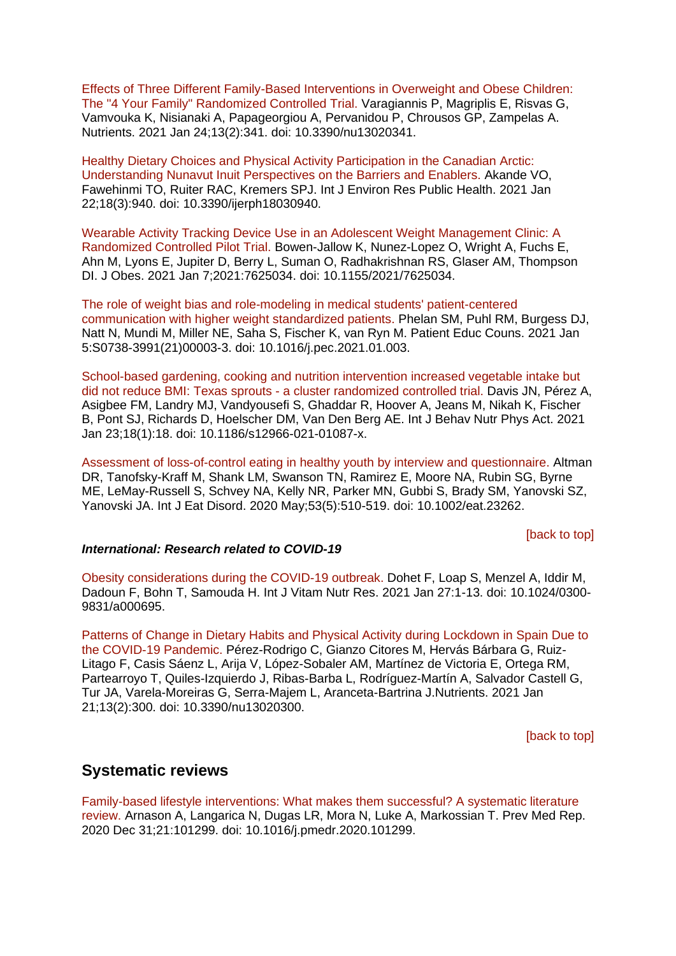[Effects of Three Different Family-Based Interventions in Overweight and Obese Children:](https://eur01.safelinks.protection.outlook.com/?url=https%3A%2F%2Fpubmed.ncbi.nlm.nih.gov%2F33498894%2F&data=04%7C01%7CMaggie.Graham%40phe.gov.uk%7C31bc67e6553b4e28251a08d8c6e1ee99%7Cee4e14994a354b2ead475f3cf9de8666%7C0%7C0%7C637478020958661848%7CUnknown%7CTWFpbGZsb3d8eyJWIjoiMC4wLjAwMDAiLCJQIjoiV2luMzIiLCJBTiI6Ik1haWwiLCJXVCI6Mn0%3D%7C1000&sdata=UUyPb6iMv19NNLYRPUjWsROyY3%2BRBeOokr48MhL15fk%3D&reserved=0)  [The "4 Your Family" Randomized Controlled Trial. V](https://eur01.safelinks.protection.outlook.com/?url=https%3A%2F%2Fpubmed.ncbi.nlm.nih.gov%2F33498894%2F&data=04%7C01%7CMaggie.Graham%40phe.gov.uk%7C31bc67e6553b4e28251a08d8c6e1ee99%7Cee4e14994a354b2ead475f3cf9de8666%7C0%7C0%7C637478020958661848%7CUnknown%7CTWFpbGZsb3d8eyJWIjoiMC4wLjAwMDAiLCJQIjoiV2luMzIiLCJBTiI6Ik1haWwiLCJXVCI6Mn0%3D%7C1000&sdata=UUyPb6iMv19NNLYRPUjWsROyY3%2BRBeOokr48MhL15fk%3D&reserved=0)aragiannis P, Magriplis E, Risvas G, Vamvouka K, Nisianaki A, Papageorgiou A, Pervanidou P, Chrousos GP, Zampelas A. Nutrients. 2021 Jan 24;13(2):341. doi: 10.3390/nu13020341.

[Healthy Dietary Choices and Physical Activity Participation in the Canadian Arctic:](https://eur01.safelinks.protection.outlook.com/?url=https%3A%2F%2Fpubmed.ncbi.nlm.nih.gov%2F33499008%2F&data=04%7C01%7CMaggie.Graham%40phe.gov.uk%7C31bc67e6553b4e28251a08d8c6e1ee99%7Cee4e14994a354b2ead475f3cf9de8666%7C0%7C0%7C637478020958671839%7CUnknown%7CTWFpbGZsb3d8eyJWIjoiMC4wLjAwMDAiLCJQIjoiV2luMzIiLCJBTiI6Ik1haWwiLCJXVCI6Mn0%3D%7C1000&sdata=i%2Ff7IKeejn3oN0VJwOR%2BoV34PuCVJXs%2B6jMf%2FiKAh6U%3D&reserved=0)  [Understanding Nunavut Inuit Perspectives on the Barriers and Enablers. A](https://eur01.safelinks.protection.outlook.com/?url=https%3A%2F%2Fpubmed.ncbi.nlm.nih.gov%2F33499008%2F&data=04%7C01%7CMaggie.Graham%40phe.gov.uk%7C31bc67e6553b4e28251a08d8c6e1ee99%7Cee4e14994a354b2ead475f3cf9de8666%7C0%7C0%7C637478020958671839%7CUnknown%7CTWFpbGZsb3d8eyJWIjoiMC4wLjAwMDAiLCJQIjoiV2luMzIiLCJBTiI6Ik1haWwiLCJXVCI6Mn0%3D%7C1000&sdata=i%2Ff7IKeejn3oN0VJwOR%2BoV34PuCVJXs%2B6jMf%2FiKAh6U%3D&reserved=0)kande VO, Fawehinmi TO, Ruiter RAC, Kremers SPJ. Int J Environ Res Public Health. 2021 Jan 22;18(3):940. doi: 10.3390/ijerph18030940.

[Wearable Activity Tracking Device Use in an Adolescent Weight Management Clinic: A](https://eur01.safelinks.protection.outlook.com/?url=https%3A%2F%2Fpubmed.ncbi.nlm.nih.gov%2F33505717%2F&data=04%7C01%7CMaggie.Graham%40phe.gov.uk%7C31bc67e6553b4e28251a08d8c6e1ee99%7Cee4e14994a354b2ead475f3cf9de8666%7C0%7C0%7C637478020958681834%7CUnknown%7CTWFpbGZsb3d8eyJWIjoiMC4wLjAwMDAiLCJQIjoiV2luMzIiLCJBTiI6Ik1haWwiLCJXVCI6Mn0%3D%7C1000&sdata=yszCCtpTJfqshtVFGQIKeXFdPWqJH%2BF4SPEZhX4hV34%3D&reserved=0)  [Randomized Controlled Pilot Trial. B](https://eur01.safelinks.protection.outlook.com/?url=https%3A%2F%2Fpubmed.ncbi.nlm.nih.gov%2F33505717%2F&data=04%7C01%7CMaggie.Graham%40phe.gov.uk%7C31bc67e6553b4e28251a08d8c6e1ee99%7Cee4e14994a354b2ead475f3cf9de8666%7C0%7C0%7C637478020958681834%7CUnknown%7CTWFpbGZsb3d8eyJWIjoiMC4wLjAwMDAiLCJQIjoiV2luMzIiLCJBTiI6Ik1haWwiLCJXVCI6Mn0%3D%7C1000&sdata=yszCCtpTJfqshtVFGQIKeXFdPWqJH%2BF4SPEZhX4hV34%3D&reserved=0)owen-Jallow K, Nunez-Lopez O, Wright A, Fuchs E, Ahn M, Lyons E, Jupiter D, Berry L, Suman O, Radhakrishnan RS, Glaser AM, Thompson DI. J Obes. 2021 Jan 7;2021:7625034. doi: 10.1155/2021/7625034.

[The role of weight bias and role-modeling in medical students' patient-centered](https://eur01.safelinks.protection.outlook.com/?url=https%3A%2F%2Fpubmed.ncbi.nlm.nih.gov%2F33487507%2F&data=04%7C01%7CMaggie.Graham%40phe.gov.uk%7C31bc67e6553b4e28251a08d8c6e1ee99%7Cee4e14994a354b2ead475f3cf9de8666%7C0%7C0%7C637478020958681834%7CUnknown%7CTWFpbGZsb3d8eyJWIjoiMC4wLjAwMDAiLCJQIjoiV2luMzIiLCJBTiI6Ik1haWwiLCJXVCI6Mn0%3D%7C1000&sdata=zknvHO69tpQYfqNyyQNQR%2BijgqN%2FG8kXMobfXn%2FyUl8%3D&reserved=0)  [communication with higher weight standardized patients. P](https://eur01.safelinks.protection.outlook.com/?url=https%3A%2F%2Fpubmed.ncbi.nlm.nih.gov%2F33487507%2F&data=04%7C01%7CMaggie.Graham%40phe.gov.uk%7C31bc67e6553b4e28251a08d8c6e1ee99%7Cee4e14994a354b2ead475f3cf9de8666%7C0%7C0%7C637478020958681834%7CUnknown%7CTWFpbGZsb3d8eyJWIjoiMC4wLjAwMDAiLCJQIjoiV2luMzIiLCJBTiI6Ik1haWwiLCJXVCI6Mn0%3D%7C1000&sdata=zknvHO69tpQYfqNyyQNQR%2BijgqN%2FG8kXMobfXn%2FyUl8%3D&reserved=0)helan SM, Puhl RM, Burgess DJ, Natt N, Mundi M, Miller NE, Saha S, Fischer K, van Ryn M. Patient Educ Couns. 2021 Jan 5:S0738-3991(21)00003-3. doi: 10.1016/j.pec.2021.01.003.

School-based gardening, cooking and [nutrition intervention increased vegetable intake but](https://eur01.safelinks.protection.outlook.com/?url=https%3A%2F%2Fpubmed.ncbi.nlm.nih.gov%2F33485354%2F&data=04%7C01%7CMaggie.Graham%40phe.gov.uk%7C31bc67e6553b4e28251a08d8c6e1ee99%7Cee4e14994a354b2ead475f3cf9de8666%7C0%7C0%7C637478020958691825%7CUnknown%7CTWFpbGZsb3d8eyJWIjoiMC4wLjAwMDAiLCJQIjoiV2luMzIiLCJBTiI6Ik1haWwiLCJXVCI6Mn0%3D%7C1000&sdata=vMBUCEqLPzjFLZ52uv%2FfQHPCcFOWtNeU89gDgRHpGOg%3D&reserved=0)  did not reduce BMI: Texas sprouts - [a cluster randomized controlled trial. D](https://eur01.safelinks.protection.outlook.com/?url=https%3A%2F%2Fpubmed.ncbi.nlm.nih.gov%2F33485354%2F&data=04%7C01%7CMaggie.Graham%40phe.gov.uk%7C31bc67e6553b4e28251a08d8c6e1ee99%7Cee4e14994a354b2ead475f3cf9de8666%7C0%7C0%7C637478020958691825%7CUnknown%7CTWFpbGZsb3d8eyJWIjoiMC4wLjAwMDAiLCJQIjoiV2luMzIiLCJBTiI6Ik1haWwiLCJXVCI6Mn0%3D%7C1000&sdata=vMBUCEqLPzjFLZ52uv%2FfQHPCcFOWtNeU89gDgRHpGOg%3D&reserved=0)avis JN, Pérez A, Asigbee FM, Landry MJ, Vandyousefi S, Ghaddar R, Hoover A, Jeans M, Nikah K, Fischer B, Pont SJ, Richards D, Hoelscher DM, Van Den Berg AE. Int J Behav Nutr Phys Act. 2021 Jan 23;18(1):18. doi: 10.1186/s12966-021-01087-x.

[Assessment of loss-of-control eating in healthy youth by interview and questionnaire. A](https://eur01.safelinks.protection.outlook.com/?url=https%3A%2F%2Fpubmed.ncbi.nlm.nih.gov%2F32202658%2F&data=04%7C01%7CMaggie.Graham%40phe.gov.uk%7C31bc67e6553b4e28251a08d8c6e1ee99%7Cee4e14994a354b2ead475f3cf9de8666%7C0%7C0%7C637478020958471953%7CUnknown%7CTWFpbGZsb3d8eyJWIjoiMC4wLjAwMDAiLCJQIjoiV2luMzIiLCJBTiI6Ik1haWwiLCJXVCI6Mn0%3D%7C1000&sdata=oOtOKNxM6aNTIPq7duHP0bTULdGBVeD%2BvxtHKIz1ID4%3D&reserved=0)ltman DR, Tanofsky-Kraff M, Shank LM, Swanson TN, Ramirez E, Moore NA, Rubin SG, Byrne ME, LeMay-Russell S, Schvey NA, Kelly NR, Parker MN, Gubbi S, Brady SM, Yanovski SZ, Yanovski JA. Int J Eat Disord. 2020 May;53(5):510-519. doi: 10.1002/eat.23262.

[\[back to top\]](#page-0-1)

### *International: Research related to COVID-19*

[Obesity considerations during the COVID-19 outbreak. D](https://eur01.safelinks.protection.outlook.com/?url=https%3A%2F%2Fpubmed.ncbi.nlm.nih.gov%2F33499680%2F&data=04%7C01%7CMaggie.Graham%40phe.gov.uk%7C31bc67e6553b4e28251a08d8c6e1ee99%7Cee4e14994a354b2ead475f3cf9de8666%7C0%7C0%7C637478020958501945%7CUnknown%7CTWFpbGZsb3d8eyJWIjoiMC4wLjAwMDAiLCJQIjoiV2luMzIiLCJBTiI6Ik1haWwiLCJXVCI6Mn0%3D%7C1000&sdata=JJbV75usrK%2BjdIaDAnm89bZ9qanxT7PFh%2BlfzLqXHeY%3D&reserved=0)ohet F, Loap S, Menzel A, Iddir M, Dadoun F, Bohn T, Samouda H. Int J Vitam Nutr Res. 2021 Jan 27:1-13. doi: 10.1024/0300- 9831/a000695.

[Patterns of Change in Dietary Habits and Physical Activity during Lockdown in Spain Due to](https://eur01.safelinks.protection.outlook.com/?url=https%3A%2F%2Fpubmed.ncbi.nlm.nih.gov%2F33494314%2F&data=04%7C01%7CMaggie.Graham%40phe.gov.uk%7C31bc67e6553b4e28251a08d8c6e1ee99%7Cee4e14994a354b2ead475f3cf9de8666%7C0%7C0%7C637478020958651854%7CUnknown%7CTWFpbGZsb3d8eyJWIjoiMC4wLjAwMDAiLCJQIjoiV2luMzIiLCJBTiI6Ik1haWwiLCJXVCI6Mn0%3D%7C1000&sdata=1%2F5S3sjiOK7GScDSnBT8NgpdCpmLgjILx3yduUWrY2g%3D&reserved=0)  [the COVID-19 Pandemic. P](https://eur01.safelinks.protection.outlook.com/?url=https%3A%2F%2Fpubmed.ncbi.nlm.nih.gov%2F33494314%2F&data=04%7C01%7CMaggie.Graham%40phe.gov.uk%7C31bc67e6553b4e28251a08d8c6e1ee99%7Cee4e14994a354b2ead475f3cf9de8666%7C0%7C0%7C637478020958651854%7CUnknown%7CTWFpbGZsb3d8eyJWIjoiMC4wLjAwMDAiLCJQIjoiV2luMzIiLCJBTiI6Ik1haWwiLCJXVCI6Mn0%3D%7C1000&sdata=1%2F5S3sjiOK7GScDSnBT8NgpdCpmLgjILx3yduUWrY2g%3D&reserved=0)érez-Rodrigo C, Gianzo Citores M, Hervás Bárbara G, Ruiz-Litago F, Casis Sáenz L, Arija V, López-Sobaler AM, Martínez de Victoria E, Ortega RM, Partearroyo T, Quiles-Izquierdo J, Ribas-Barba L, Rodríguez-Martín A, Salvador Castell G, Tur JA, Varela-Moreiras G, Serra-Majem L, Aranceta-Bartrina J.Nutrients. 2021 Jan 21;13(2):300. doi: 10.3390/nu13020300.

[\[back to top\]](#page-0-1)

### <span id="page-3-0"></span>**Systematic reviews**

[Family-based lifestyle interventions: What makes them successful? A systematic literature](https://eur01.safelinks.protection.outlook.com/?url=https%3A%2F%2Fpubmed.ncbi.nlm.nih.gov%2F33511024%2F&data=04%7C01%7CMaggie.Graham%40phe.gov.uk%7C31bc67e6553b4e28251a08d8c6e1ee99%7Cee4e14994a354b2ead475f3cf9de8666%7C0%7C0%7C637478020958491945%7CUnknown%7CTWFpbGZsb3d8eyJWIjoiMC4wLjAwMDAiLCJQIjoiV2luMzIiLCJBTiI6Ik1haWwiLCJXVCI6Mn0%3D%7C1000&sdata=oQAuYHqDwN%2B1U8KK24atiKQ%2BPsXrLfqj%2FBU8N4QtYG0%3D&reserved=0)  [review. A](https://eur01.safelinks.protection.outlook.com/?url=https%3A%2F%2Fpubmed.ncbi.nlm.nih.gov%2F33511024%2F&data=04%7C01%7CMaggie.Graham%40phe.gov.uk%7C31bc67e6553b4e28251a08d8c6e1ee99%7Cee4e14994a354b2ead475f3cf9de8666%7C0%7C0%7C637478020958491945%7CUnknown%7CTWFpbGZsb3d8eyJWIjoiMC4wLjAwMDAiLCJQIjoiV2luMzIiLCJBTiI6Ik1haWwiLCJXVCI6Mn0%3D%7C1000&sdata=oQAuYHqDwN%2B1U8KK24atiKQ%2BPsXrLfqj%2FBU8N4QtYG0%3D&reserved=0)rnason A, Langarica N, Dugas LR, Mora N, Luke A, Markossian T. Prev Med Rep. 2020 Dec 31;21:101299. doi: 10.1016/j.pmedr.2020.101299.